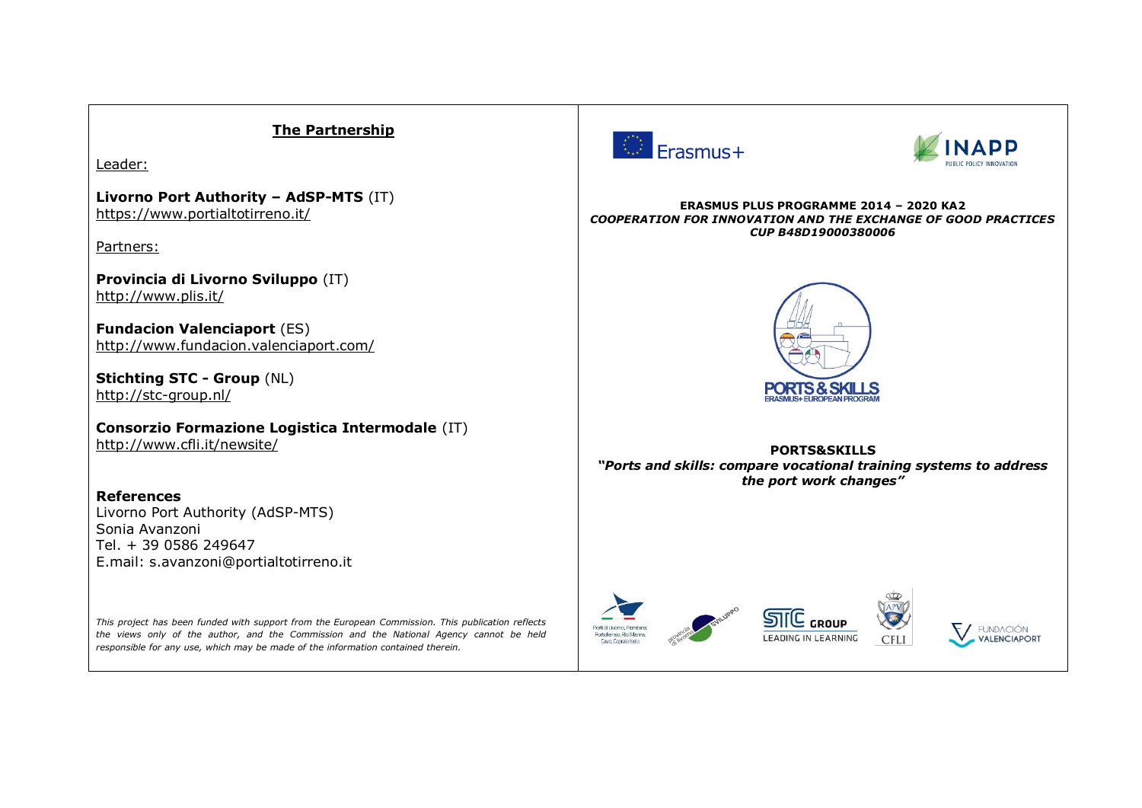## **The Partnership**  $\bigcirc$  Erasmus+ Leader: **Livorno Port Authority – AdSP-MTS** (IT) **ERASMUS PLUS PROGRAMME 2014 – 2020 KA2** <https://www.portialtotirreno.it/> *COOPERATION FOR INNOVATION AND THE EXCHANGE OF GOOD PRACTICES CUP B48D19000380006* Partners: **Provincia di Livorno Sviluppo** (IT) <http://www.plis.it/> **Fundacion Valenciaport** (ES) <http://www.fundacion.valenciaport.com/> **Stichting STC - Group** (NL) PORTS & SKILLS <http://stc-group.nl/> **Consorzio Formazione Logistica Intermodale** (IT) <http://www.cfli.it/newsite/> **PORTS&SKILLS** *"Ports and skills: compare vocational training systems to address the port work changes"* **References**  Livorno Port Authority (AdSP-MTS) Sonia Avanzoni Tel. + 39 0586 249647 E.mail: s.avanzoni@portialtotirreno.it

Porti di Livorno, Piombino

Portoferraio, Rio Mario

rtoren aro, Kio Ivian<br>Cavo, Capraia Isola

**STIC** GROUE

LEADING IN LEARNING

**CELL** 

**FUNDACIÓN** 

**VALENCIAPORT** 

*This project has been funded with support from the European Commission. This publication reflects the views only of the author, and the Commission and the National Agency cannot be held responsible for any use, which may be made of the information contained therein.*